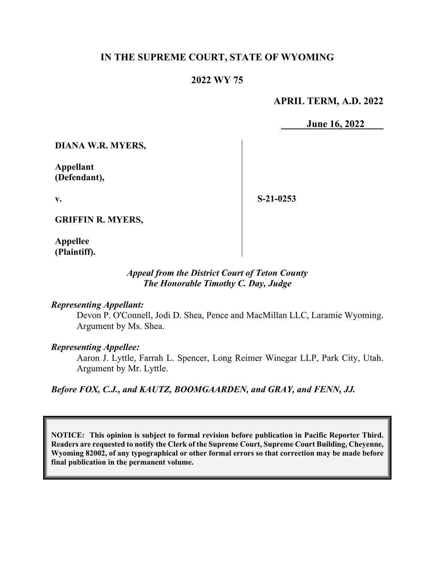## **IN THE SUPREME COURT, STATE OF WYOMING**

## **2022 WY 75**

#### **APRIL TERM, A.D. 2022**

**June 16, 2022** 

**DIANA W.R. MYERS,**

**Appellant (Defendant),** 

**v.** 

**S-21-0253** 

**GRIFFIN R. MYERS,** 

**Appellee (Plaintiff).**

#### *Appeal from the District Court of Teton County The Honorable Timothy C. Day, Judge*

#### *Representing Appellant:*

Devon P. O'Connell, Jodi D. Shea, Pence and MacMillan LLC, Laramie Wyoming. Argument by Ms. Shea.

#### *Representing Appellee:*

Aaron J. Lyttle, Farrah L. Spencer, Long Reimer Winegar LLP, Park City, Utah. Argument by Mr. Lyttle.

*Before FOX, C.J., and KAUTZ, BOOMGAARDEN, and GRAY, and FENN, JJ.* 

**NOTICE: This opinion is subject to formal revision before publication in Pacific Reporter Third. Readers are requested to notify the Clerk of the Supreme Court, Supreme Court Building, Cheyenne, Wyoming 82002, of any typographical or other formal errors so that correction may be made before final publication in the permanent volume.**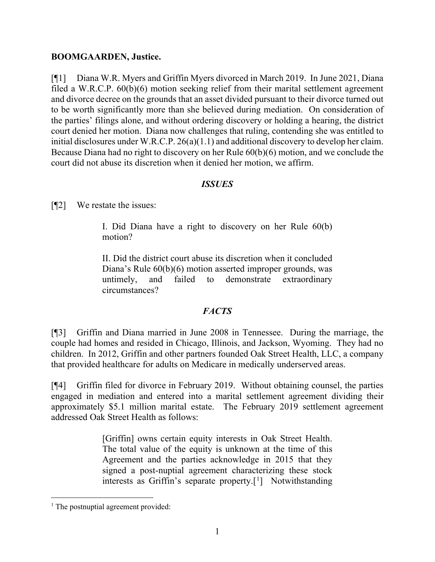#### **BOOMGAARDEN, Justice.**

[¶1] Diana W.R. Myers and Griffin Myers divorced in March 2019. In June 2021, Diana filed a W.R.C.P. 60(b)(6) motion seeking relief from their marital settlement agreement and divorce decree on the grounds that an asset divided pursuant to their divorce turned out to be worth significantly more than she believed during mediation. On consideration of the parties' filings alone, and without ordering discovery or holding a hearing, the district court denied her motion. Diana now challenges that ruling, contending she was entitled to initial disclosures under W.R.C.P. 26(a)(1.1) and additional discovery to develop her claim. Because Diana had no right to discovery on her Rule 60(b)(6) motion, and we conclude the court did not abuse its discretion when it denied her motion, we affirm.

## *ISSUES*

[¶2] We restate the issues:

I. Did Diana have a right to discovery on her Rule 60(b) motion?

II. Did the district court abuse its discretion when it concluded Diana's Rule 60(b)(6) motion asserted improper grounds, was untimely, and failed to demonstrate extraordinary circumstances?

## *FACTS*

[¶3] Griffin and Diana married in June 2008 in Tennessee. During the marriage, the couple had homes and resided in Chicago, Illinois, and Jackson, Wyoming. They had no children. In 2012, Griffin and other partners founded Oak Street Health, LLC, a company that provided healthcare for adults on Medicare in medically underserved areas.

[¶4] Griffin filed for divorce in February 2019. Without obtaining counsel, the parties engaged in mediation and entered into a marital settlement agreement dividing their approximately \$5.1 million marital estate. The February 2019 settlement agreement addressed Oak Street Health as follows:

> [Griffin] owns certain equity interests in Oak Street Health. The total value of the equity is unknown at the time of this Agreement and the parties acknowledge in 2015 that they signed a post-nuptial agreement characterizing these stock interests as Griffin's separate property.<sup>[[1](#page-1-0)</sup>] Notwithstanding

<span id="page-1-0"></span> $<sup>1</sup>$  The postnuptial agreement provided:</sup>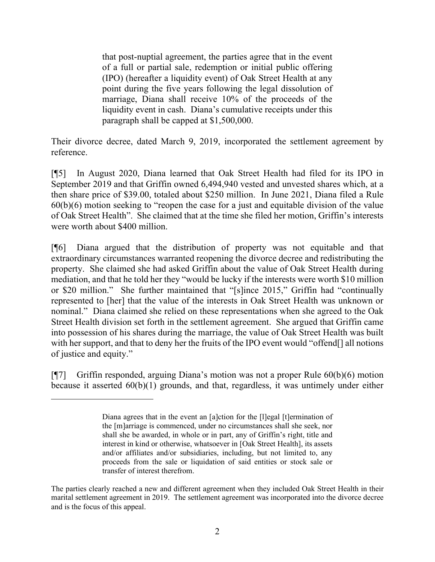that post-nuptial agreement, the parties agree that in the event of a full or partial sale, redemption or initial public offering (IPO) (hereafter a liquidity event) of Oak Street Health at any point during the five years following the legal dissolution of marriage, Diana shall receive 10% of the proceeds of the liquidity event in cash. Diana's cumulative receipts under this paragraph shall be capped at \$1,500,000.

Their divorce decree, dated March 9, 2019, incorporated the settlement agreement by reference.

[¶5] In August 2020, Diana learned that Oak Street Health had filed for its IPO in September 2019 and that Griffin owned 6,494,940 vested and unvested shares which, at a then share price of \$39.00, totaled about \$250 million. In June 2021, Diana filed a Rule 60(b)(6) motion seeking to "reopen the case for a just and equitable division of the value of Oak Street Health". She claimed that at the time she filed her motion, Griffin's interests were worth about \$400 million.

[¶6] Diana argued that the distribution of property was not equitable and that extraordinary circumstances warranted reopening the divorce decree and redistributing the property. She claimed she had asked Griffin about the value of Oak Street Health during mediation, and that he told her they "would be lucky if the interests were worth \$10 million or \$20 million." She further maintained that "[s]ince 2015," Griffin had "continually represented to [her] that the value of the interests in Oak Street Health was unknown or nominal." Diana claimed she relied on these representations when she agreed to the Oak Street Health division set forth in the settlement agreement. She argued that Griffin came into possession of his shares during the marriage, the value of Oak Street Health was built with her support, and that to deny her the fruits of the IPO event would "offend[] all notions of justice and equity."

[¶7] Griffin responded, arguing Diana's motion was not a proper Rule 60(b)(6) motion because it asserted 60(b)(1) grounds, and that, regardless, it was untimely under either

Diana agrees that in the event an [a]ction for the [1]egal [t]ermination of the [m]arriage is commenced, under no circumstances shall she seek, nor shall she be awarded, in whole or in part, any of Griffin's right, title and interest in kind or otherwise, whatsoever in [Oak Street Health], its assets and/or affiliates and/or subsidiaries, including, but not limited to, any proceeds from the sale or liquidation of said entities or stock sale or transfer of interest therefrom.

The parties clearly reached a new and different agreement when they included Oak Street Health in their marital settlement agreement in 2019. The settlement agreement was incorporated into the divorce decree and is the focus of this appeal.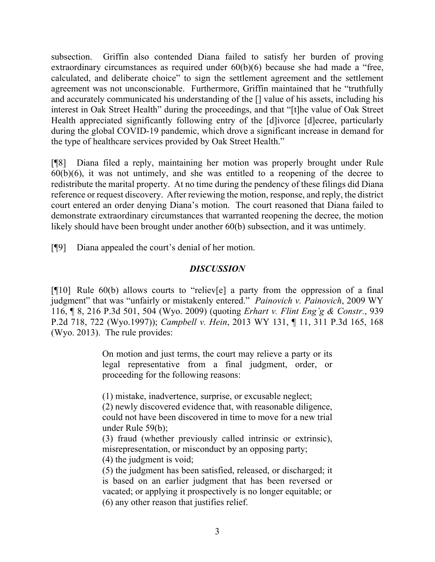subsection. Griffin also contended Diana failed to satisfy her burden of proving extraordinary circumstances as required under 60(b)(6) because she had made a "free, calculated, and deliberate choice" to sign the settlement agreement and the settlement agreement was not unconscionable. Furthermore, Griffin maintained that he "truthfully and accurately communicated his understanding of the [] value of his assets, including his interest in Oak Street Health" during the proceedings, and that "[t]he value of Oak Street Health appreciated significantly following entry of the [d]ivorce [d]ecree, particularly during the global COVID-19 pandemic, which drove a significant increase in demand for the type of healthcare services provided by Oak Street Health."

[¶8] Diana filed a reply, maintaining her motion was properly brought under Rule  $60(b)(6)$ , it was not untimely, and she was entitled to a reopening of the decree to redistribute the marital property. At no time during the pendency of these filings did Diana reference or request discovery. After reviewing the motion, response, and reply, the district court entered an order denying Diana's motion. The court reasoned that Diana failed to demonstrate extraordinary circumstances that warranted reopening the decree, the motion likely should have been brought under another 60(b) subsection, and it was untimely.

[¶9] Diana appealed the court's denial of her motion.

## *DISCUSSION*

 $[910]$  Rule 60(b) allows courts to "reliev[e] a party from the oppression of a final judgment" that was "unfairly or mistakenly entered." *Painovich v. Painovich*, 2009 WY 116, ¶ 8, 216 P.3d 501, 504 (Wyo. 2009) (quoting *Erhart v. Flint Eng'g & Constr.*, 939 P.2d 718, 722 (Wyo.1997)); *Campbell v. Hein*, 2013 WY 131, ¶ 11, 311 P.3d 165, 168 (Wyo. 2013). The rule provides:

> On motion and just terms, the court may relieve a party or its legal representative from a final judgment, order, or proceeding for the following reasons:

(1) mistake, inadvertence, surprise, or excusable neglect;

(2) newly discovered evidence that, with reasonable diligence, could not have been discovered in time to move for a new trial under Rule 59(b);

(3) fraud (whether previously called intrinsic or extrinsic), misrepresentation, or misconduct by an opposing party;

(4) the judgment is void;

(5) the judgment has been satisfied, released, or discharged; it is based on an earlier judgment that has been reversed or vacated; or applying it prospectively is no longer equitable; or (6) any other reason that justifies relief.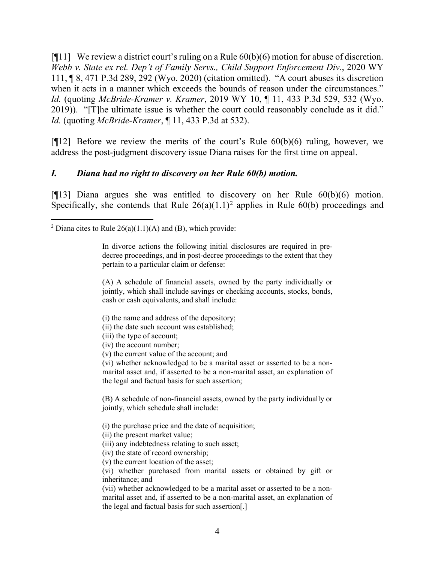[ $[11]$  We review a district court's ruling on a Rule  $60(b)(6)$  motion for abuse of discretion. *Webb v. State ex rel. Dep't of Family Servs., Child Support Enforcement Div.*, 2020 WY 111, ¶ 8, 471 P.3d 289, 292 (Wyo. 2020) (citation omitted). "A court abuses its discretion when it acts in a manner which exceeds the bounds of reason under the circumstances." *Id.* (quoting *McBride-Kramer v. Kramer*, 2019 WY 10, ¶ 11, 433 P.3d 529, 532 (Wyo. 2019)). "[T]he ultimate issue is whether the court could reasonably conclude as it did." *Id.* (quoting *McBride-Kramer*, ¶ 11, 433 P.3d at 532).

[ $[12]$ ] Before we review the merits of the court's Rule  $60(b)(6)$  ruling, however, we address the post-judgment discovery issue Diana raises for the first time on appeal.

#### *I. Diana had no right to discovery on her Rule 60(b) motion.*

[¶13] Diana argues she was entitled to discovery on her Rule 60(b)(6) motion. Specifically, she contends that Rule  $26(a)(1.1)^2$  $26(a)(1.1)^2$  applies in Rule 60(b) proceedings and

(A) A schedule of financial assets, owned by the party individually or jointly, which shall include savings or checking accounts, stocks, bonds, cash or cash equivalents, and shall include:

- (i) the name and address of the depository;
- (ii) the date such account was established;
- (iii) the type of account;
- (iv) the account number;
- (v) the current value of the account; and

(vi) whether acknowledged to be a marital asset or asserted to be a nonmarital asset and, if asserted to be a non-marital asset, an explanation of the legal and factual basis for such assertion;

(B) A schedule of non-financial assets, owned by the party individually or jointly, which schedule shall include:

(i) the purchase price and the date of acquisition;

(ii) the present market value;

(iii) any indebtedness relating to such asset;

(iv) the state of record ownership;

(v) the current location of the asset;

(vi) whether purchased from marital assets or obtained by gift or inheritance; and

(vii) whether acknowledged to be a marital asset or asserted to be a nonmarital asset and, if asserted to be a non-marital asset, an explanation of the legal and factual basis for such assertion[.]

<span id="page-4-0"></span><sup>&</sup>lt;sup>2</sup> Diana cites to Rule  $26(a)(1.1)(A)$  and (B), which provide:

In divorce actions the following initial disclosures are required in predecree proceedings, and in post-decree proceedings to the extent that they pertain to a particular claim or defense: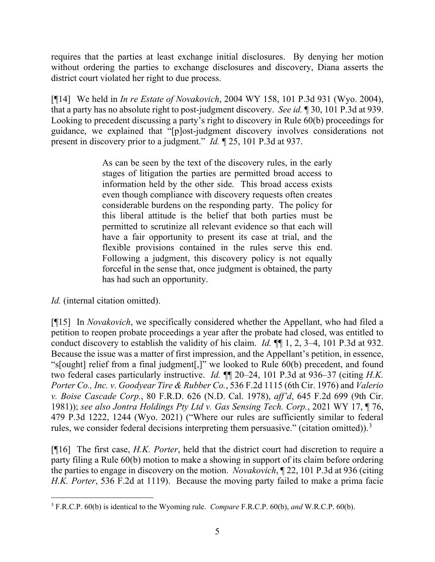requires that the parties at least exchange initial disclosures. By denying her motion without ordering the parties to exchange disclosures and discovery, Diana asserts the district court violated her right to due process.

[¶14] We held in *In re Estate of Novakovich*, 2004 WY 158, 101 P.3d 931 (Wyo. 2004), that a party has no absolute right to post-judgment discovery. *See id.* ¶ 30, 101 P.3d at 939. Looking to precedent discussing a party's right to discovery in Rule 60(b) proceedings for guidance, we explained that "[p]ost-judgment discovery involves considerations not present in discovery prior to a judgment." *Id.* ¶ 25, 101 P.3d at 937.

> As can be seen by the text of the discovery rules, in the early stages of litigation the parties are permitted broad access to information held by the other side. This broad access exists even though compliance with discovery requests often creates considerable burdens on the responding party. The policy for this liberal attitude is the belief that both parties must be permitted to scrutinize all relevant evidence so that each will have a fair opportunity to present its case at trial, and the flexible provisions contained in the rules serve this end. Following a judgment, this discovery policy is not equally forceful in the sense that, once judgment is obtained, the party has had such an opportunity.

*Id.* (internal citation omitted).

[¶15] In *Novakovich*, we specifically considered whether the Appellant, who had filed a petition to reopen probate proceedings a year after the probate had closed, was entitled to conduct discovery to establish the validity of his claim. *Id.* ¶¶ 1, 2, 3–4, 101 P.3d at 932. Because the issue was a matter of first impression, and the Appellant's petition, in essence, "s[ought] relief from a final judgment[,]" we looked to Rule 60(b) precedent, and found two federal cases particularly instructive. *Id.* ¶¶ 20–24, 101 P.3d at 936–37 (citing *H.K. Porter Co., Inc. v. Goodyear Tire & Rubber Co.*, 536 F.2d 1115 (6th Cir. 1976) and *Valerio v. Boise Cascade Corp.*, 80 F.R.D. 626 (N.D. Cal. 1978), *aff'd*, 645 F.2d 699 (9th Cir. 1981)); *see also Jontra Holdings Pty Ltd v. Gas Sensing Tech. Corp.*, 2021 WY 17, ¶ 76, 479 P.3d 1222, 1244 (Wyo. 2021) ("Where our rules are sufficiently similar to federal rules, we consider federal decisions interpreting them persuasive." (citation omitted)).<sup>[3](#page-5-0)</sup>

[¶16] The first case, *H.K. Porter*, held that the district court had discretion to require a party filing a Rule 60(b) motion to make a showing in support of its claim before ordering the parties to engage in discovery on the motion. *Novakovich*, ¶ 22, 101 P.3d at 936 (citing *H.K. Porter*, 536 F.2d at 1119). Because the moving party failed to make a prima facie

<span id="page-5-0"></span><sup>3</sup> F.R.C.P. 60(b) is identical to the Wyoming rule. *Compare* F.R.C.P. 60(b), *and* W.R.C.P. 60(b).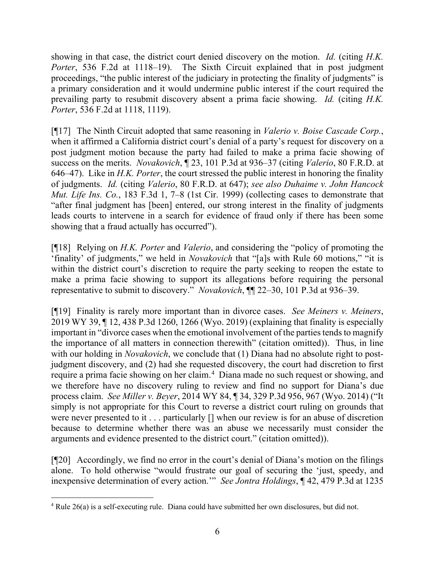showing in that case, the district court denied discovery on the motion. *Id.* (citing *H.K. Porter*, 536 F.2d at 1118–19). The Sixth Circuit explained that in post judgment proceedings, "the public interest of the judiciary in protecting the finality of judgments" is a primary consideration and it would undermine public interest if the court required the prevailing party to resubmit discovery absent a prima facie showing. *Id.* (citing *H.K. Porter*, 536 F.2d at 1118, 1119).

[¶17] The Ninth Circuit adopted that same reasoning in *Valerio v. Boise Cascade Corp.*, when it affirmed a California district court's denial of a party's request for discovery on a post judgment motion because the party had failed to make a prima facie showing of success on the merits. *Novakovich*, ¶ 23, 101 P.3d at 936–37 (citing *Valerio*, 80 F.R.D. at 646–47). Like in *H.K. Porter*, the court stressed the public interest in honoring the finality of judgments. *Id.* (citing *Valerio*, 80 F.R.D. at 647); *see also Duhaime v. John Hancock Mut. Life Ins. Co.*, 183 F.3d 1, 7–8 (1st Cir. 1999) (collecting cases to demonstrate that "after final judgment has [been] entered, our strong interest in the finality of judgments leads courts to intervene in a search for evidence of fraud only if there has been some showing that a fraud actually has occurred").

[¶18] Relying on *H.K. Porter* and *Valerio*, and considering the "policy of promoting the 'finality' of judgments," we held in *Novakovich* that "[a]s with Rule 60 motions," "it is within the district court's discretion to require the party seeking to reopen the estate to make a prima facie showing to support its allegations before requiring the personal representative to submit to discovery." *Novakovich*, ¶¶ 22–30, 101 P.3d at 936–39.

[¶19] Finality is rarely more important than in divorce cases. *See Meiners v. Meiners*, 2019 WY 39, ¶ 12, 438 P.3d 1260, 1266 (Wyo. 2019) (explaining that finality is especially important in "divorce cases when the emotional involvement of the parties tends to magnify the importance of all matters in connection therewith" (citation omitted)). Thus, in line with our holding in *Novakovich*, we conclude that (1) Diana had no absolute right to postjudgment discovery, and (2) had she requested discovery, the court had discretion to first require a prima facie showing on her claim. [4](#page-6-0) Diana made no such request or showing, and we therefore have no discovery ruling to review and find no support for Diana's due process claim. *See Miller v. Beyer*, 2014 WY 84, ¶ 34, 329 P.3d 956, 967 (Wyo. 2014) ("It simply is not appropriate for this Court to reverse a district court ruling on grounds that were never presented to it . . . particularly [] when our review is for an abuse of discretion because to determine whether there was an abuse we necessarily must consider the arguments and evidence presented to the district court." (citation omitted)).

[¶20] Accordingly, we find no error in the court's denial of Diana's motion on the filings alone. To hold otherwise "would frustrate our goal of securing the 'just, speedy, and inexpensive determination of every action.'" *See Jontra Holdings*, ¶ 42, 479 P.3d at 1235

<span id="page-6-0"></span><sup>&</sup>lt;sup>4</sup> Rule 26(a) is a self-executing rule. Diana could have submitted her own disclosures, but did not.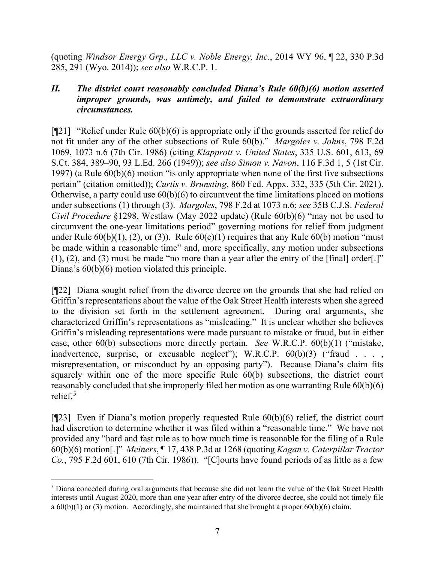(quoting *Windsor Energy Grp., LLC v. Noble Energy, Inc.*, 2014 WY 96, ¶ 22, 330 P.3d 285, 291 (Wyo. 2014)); *see also* W.R.C.P. 1.

## *II. The district court reasonably concluded Diana's Rule 60(b)(6) motion asserted improper grounds, was untimely, and failed to demonstrate extraordinary circumstances.*

 $\lceil \frac{m}{21} \rceil$  "Relief under Rule 60(b)(6) is appropriate only if the grounds asserted for relief do not fit under any of the other subsections of Rule 60(b)." *Margoles v. Johns*, 798 F.2d 1069, 1073 n.6 (7th Cir. 1986) (citing *Klapprott v. United States*, 335 U.S. 601, 613, 69 S.Ct. 384, 389–90, 93 L.Ed. 266 (1949)); *see also Simon v. Navon*, 116 F.3d 1, 5 (1st Cir. 1997) (a Rule 60(b)(6) motion "is only appropriate when none of the first five subsections pertain" (citation omitted)); *Curtis v. Brunsting*, 860 Fed. Appx. 332, 335 (5th Cir. 2021). Otherwise, a party could use 60(b)(6) to circumvent the time limitations placed on motions under subsections (1) through (3). *Margoles*, 798 F.2d at 1073 n.6; *see* 35B C.J.S. *Federal Civil Procedure* §1298, Westlaw (May 2022 update) (Rule 60(b)(6) "may not be used to circumvent the one-year limitations period" governing motions for relief from judgment under Rule  $60(b)(1)$ , (2), or (3)). Rule  $60(c)(1)$  requires that any Rule  $60(b)$  motion "must" be made within a reasonable time" and, more specifically, any motion under subsections (1), (2), and (3) must be made "no more than a year after the entry of the [final] order[.]" Diana's 60(b)(6) motion violated this principle.

[¶22] Diana sought relief from the divorce decree on the grounds that she had relied on Griffin's representations about the value of the Oak Street Health interests when she agreed to the division set forth in the settlement agreement. During oral arguments, she characterized Griffin's representations as "misleading." It is unclear whether she believes Griffin's misleading representations were made pursuant to mistake or fraud, but in either case, other 60(b) subsections more directly pertain. *See* W.R.C.P. 60(b)(1) ("mistake, inadvertence, surprise, or excusable neglect"); W.R.C.P.  $60(b)(3)$  ("fraud . . ., misrepresentation, or misconduct by an opposing party"). Because Diana's claim fits squarely within one of the more specific Rule 60(b) subsections, the district court reasonably concluded that she improperly filed her motion as one warranting Rule 60(b)(6) relief.<sup>[5](#page-7-0)</sup>

[¶23] Even if Diana's motion properly requested Rule 60(b)(6) relief, the district court had discretion to determine whether it was filed within a "reasonable time." We have not provided any "hard and fast rule as to how much time is reasonable for the filing of a Rule 60(b)(6) motion[.]" *Meiners*, ¶ 17, 438 P.3d at 1268 (quoting *Kagan v. Caterpillar Tractor Co.*, 795 F.2d 601, 610 (7th Cir. 1986)). "[C]ourts have found periods of as little as a few

<span id="page-7-0"></span><sup>&</sup>lt;sup>5</sup> Diana conceded during oral arguments that because she did not learn the value of the Oak Street Health interests until August 2020, more than one year after entry of the divorce decree, she could not timely file a  $60(b)(1)$  or (3) motion. Accordingly, she maintained that she brought a proper  $60(b)(6)$  claim.